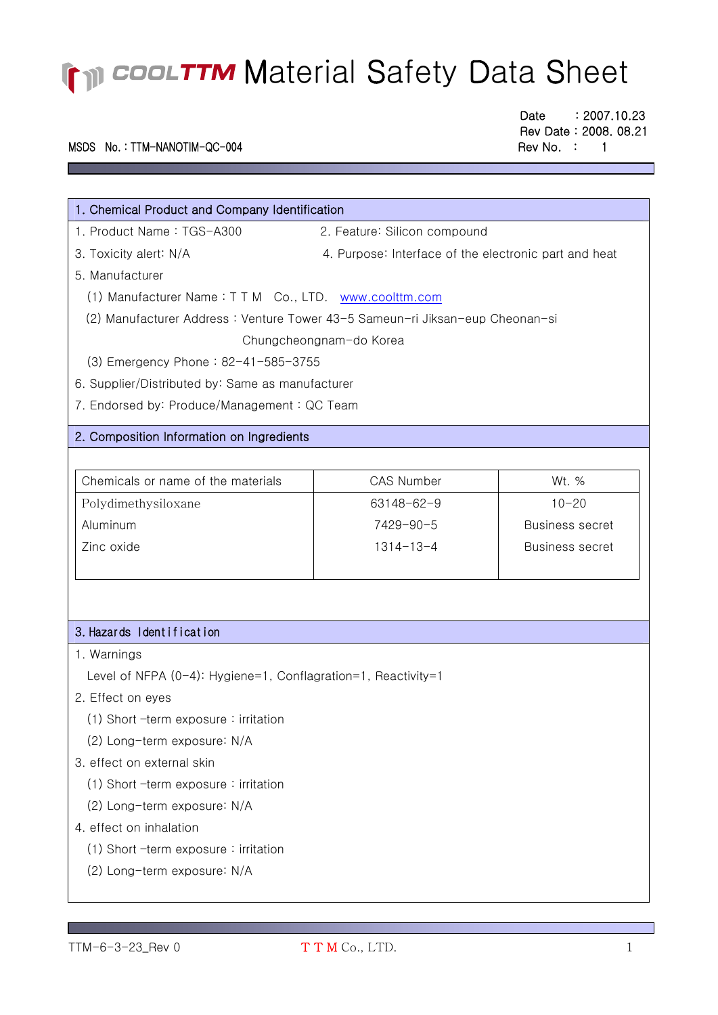### MSDS No.: TTM-NANOTIM-QC-004 Rev No. : 1

**Contract Contract** 

Date : 2007.10.23 Rev Date : 2008. 08.21

| 1. Chemical Product and Company Identification                               |                                                       |                        |  |  |
|------------------------------------------------------------------------------|-------------------------------------------------------|------------------------|--|--|
| 1. Product Name: TGS-A300                                                    | 2. Feature: Silicon compound                          |                        |  |  |
| 3. Toxicity alert: N/A                                                       | 4. Purpose: Interface of the electronic part and heat |                        |  |  |
| 5. Manufacturer                                                              |                                                       |                        |  |  |
| (1) Manufacturer Name: TTM Co., LTD. www.coolttm.com                         |                                                       |                        |  |  |
| (2) Manufacturer Address: Venture Tower 43-5 Sameun-ri Jiksan-eup Cheonan-si |                                                       |                        |  |  |
| Chungcheongnam-do Korea                                                      |                                                       |                        |  |  |
| (3) Emergency Phone: 82-41-585-3755                                          |                                                       |                        |  |  |
| 6. Supplier/Distributed by: Same as manufacturer                             |                                                       |                        |  |  |
| 7. Endorsed by: Produce/Management: QC Team                                  |                                                       |                        |  |  |
| 2. Composition Information on Ingredients                                    |                                                       |                        |  |  |
|                                                                              |                                                       |                        |  |  |
| Chemicals or name of the materials                                           | <b>CAS Number</b>                                     | Wt. %                  |  |  |
| Polydimethysiloxane                                                          | $63148 - 62 - 9$                                      | $10 - 20$              |  |  |
| Aluminum                                                                     | 7429-90-5                                             | <b>Business secret</b> |  |  |
| Zinc oxide                                                                   | $1314 - 13 - 4$                                       | <b>Business secret</b> |  |  |
|                                                                              |                                                       |                        |  |  |
|                                                                              |                                                       |                        |  |  |
|                                                                              |                                                       |                        |  |  |
| 3. Hazards Identification                                                    |                                                       |                        |  |  |
| 1. Warnings                                                                  |                                                       |                        |  |  |
| Level of NFPA (0-4): Hygiene=1, Conflagration=1, Reactivity=1                |                                                       |                        |  |  |
| 2. Effect on eyes                                                            |                                                       |                        |  |  |
| $(1)$ Short -term exposure : irritation                                      |                                                       |                        |  |  |

(2) Long-term exposure: N/A

### 3. effect on external skin

- (1) Short –term exposure : irritation
- (2) Long-term exposure: N/A

### 4. effect on inhalation

- (1) Short –term exposure : irritation
- (2) Long-term exposure: N/A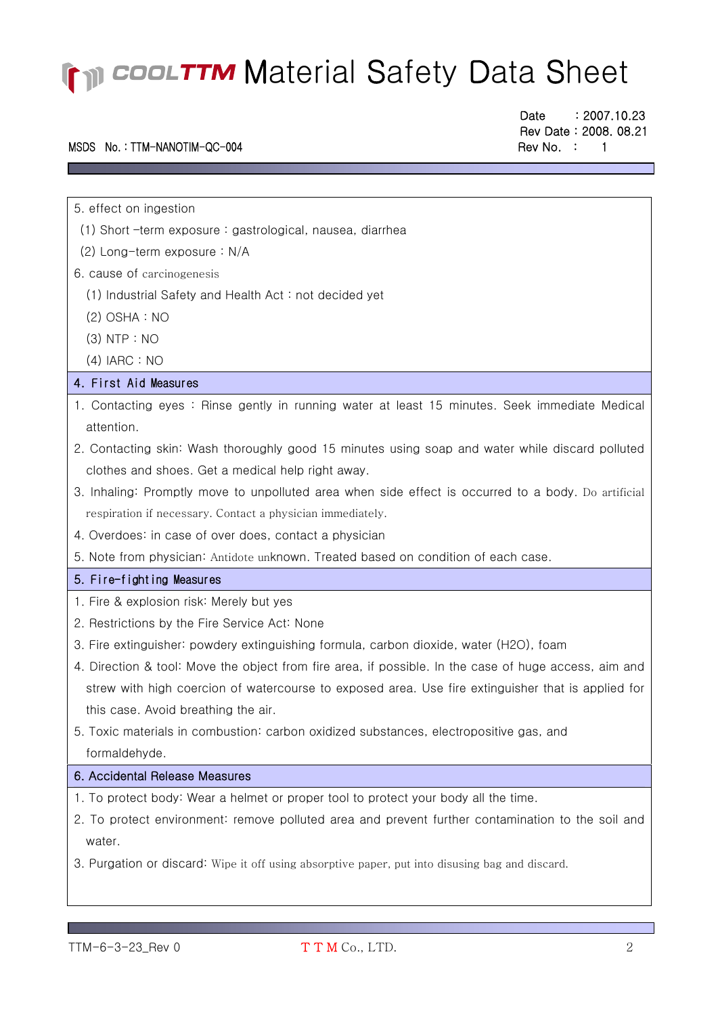### MSDS No.: TTM-NANOTIM-QC-004 Rev No. : 1

Date : 2007.10.23 Rev Date : 2008. 08.21

5. effect on ingestion

l ٦

- (1) Short –term exposure : gastrological, nausea, diarrhea
- (2) Long-term exposure : N/A
- 6. cause of carcinogenesis
	- (1) Industrial Safety and Health Act : not decided yet
	- (2) OSHA : NO
	- (3) NTP : NO
	- (4) IARC : NO

#### 4. First Aid Measures

- 1. Contacting eyes : Rinse gently in running water at least 15 minutes. Seek immediate Medical attention.
- 2. Contacting skin: Wash thoroughly good 15 minutes using soap and water while discard polluted clothes and shoes. Get a medical help right away.
- 3. Inhaling: Promptly move to unpolluted area when side effect is occurred to a body. Do artificial respiration if necessary. Contact a physician immediately.
- 4. Overdoes: in case of over does, contact a physician
- 5. Note from physician: Antidote unknown. Treated based on condition of each case.

#### 5. Fire-fighting Measures

- 1. Fire & explosion risk: Merely but yes
- 2. Restrictions by the Fire Service Act: None
- 3. Fire extinguisher: powdery extinguishing formula, carbon dioxide, water (H2O), foam
- 4. Direction & tool: Move the object from fire area, if possible. In the case of huge access, aim and strew with high coercion of watercourse to exposed area. Use fire extinguisher that is applied for this case. Avoid breathing the air.
- 5. Toxic materials in combustion: carbon oxidized substances, electropositive gas, and formaldehyde.

#### 6. Accidental Release Measures

- 1. To protect body: Wear a helmet or proper tool to protect your body all the time.
- 2. To protect environment: remove polluted area and prevent further contamination to the soil and water.
- 3. Purgation or discard: Wipe it off using absorptive paper, put into disusing bag and discard.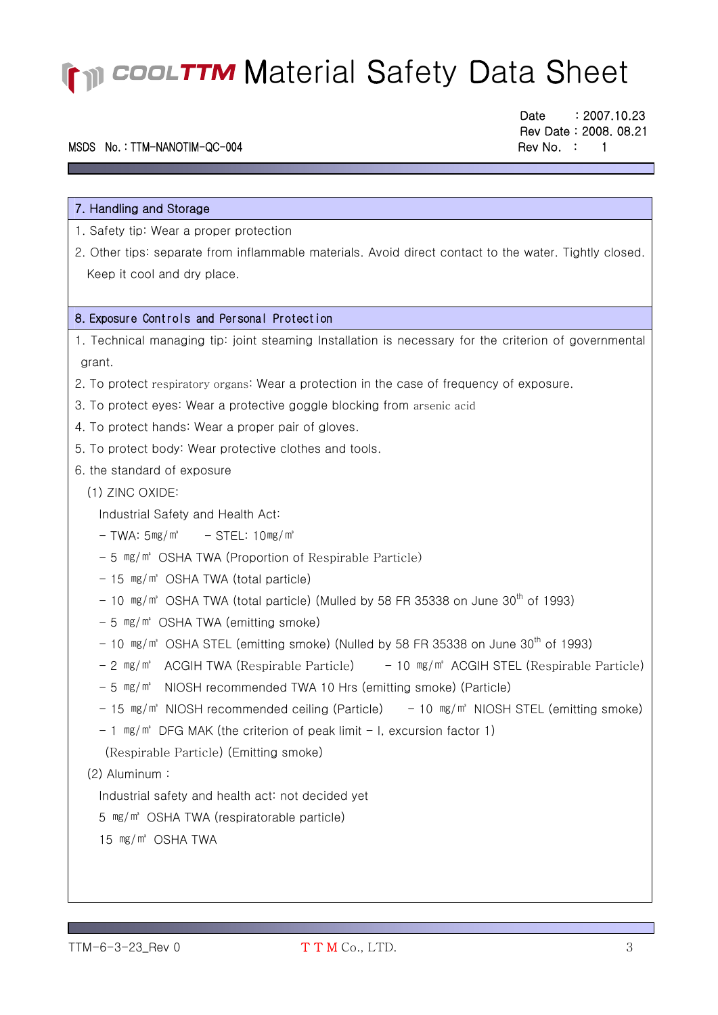#### MSDS No.: TTM-NANOTIM-QC-004 Rev No. : 1

7. Handling and Storage

l ٦ Date : 2007.10.23 Rev Date : 2008. 08.21

1. Safety tip: Wear a proper protection 2. Other tips: separate from inflammable materials. Avoid direct contact to the water. Tightly closed. Keep it cool and dry place. 8. Exposure Controls and Personal Protection 1. Technical managing tip: joint steaming Installation is necessary for the criterion of governmental grant. 2. To protect respiratory organs: Wear a protection in the case of frequency of exposure. 3. To protect eyes: Wear a protective goggle blocking from arsenic acid

- 4. To protect hands: Wear a proper pair of gloves.
- 5. To protect body: Wear protective clothes and tools.

#### 6. the standard of exposure

(1) ZINC OXIDE:

Industrial Safety and Health Act:

- $-$  TWA:  $5mg/m^3$   $-$  STEL:  $10mg/m^3$
- 5 ㎎/㎥ OSHA TWA (Proportion of Respirable Particle)
- 15 mg/m<sup>3</sup> OSHA TWA (total particle)
- $-$  10 mg/m<sup>3</sup> OSHA TWA (total particle) (Mulled by 58 FR 35338 on June 30<sup>th</sup> of 1993)
- 5 ㎎/㎥ OSHA TWA (emitting smoke)
- $-$  10  $mg/m$ <sup>3</sup> OSHA STEL (emitting smoke) (Nulled by 58 FR 35338 on June 30<sup>th</sup> of 1993)
- $-$  2  $mg/m$ <sup>2</sup> ACGIH TWA (Respirable Particle)  $-$  10  $mg/m$ <sup>2</sup> ACGIH STEL (Respirable Particle)
- 5 ㎎/㎥ NIOSH recommended TWA 10 Hrs (emitting smoke) (Particle)
- $15$  mg/m<sup>3</sup> NIOSH recommended ceiling (Particle)  $10$  mg/m<sup>3</sup> NIOSH STEL (emitting smoke)

 $-1$  mg/m<sup>3</sup> DFG MAK (the criterion of peak limit  $-1$ , excursion factor 1)

(Respirable Particle) (Emitting smoke)

(2) Aluminum :

Industrial safety and health act: not decided yet

5 ㎎/㎥ OSHA TWA (respiratorable particle)

15 ㎎/㎥ OSHA TWA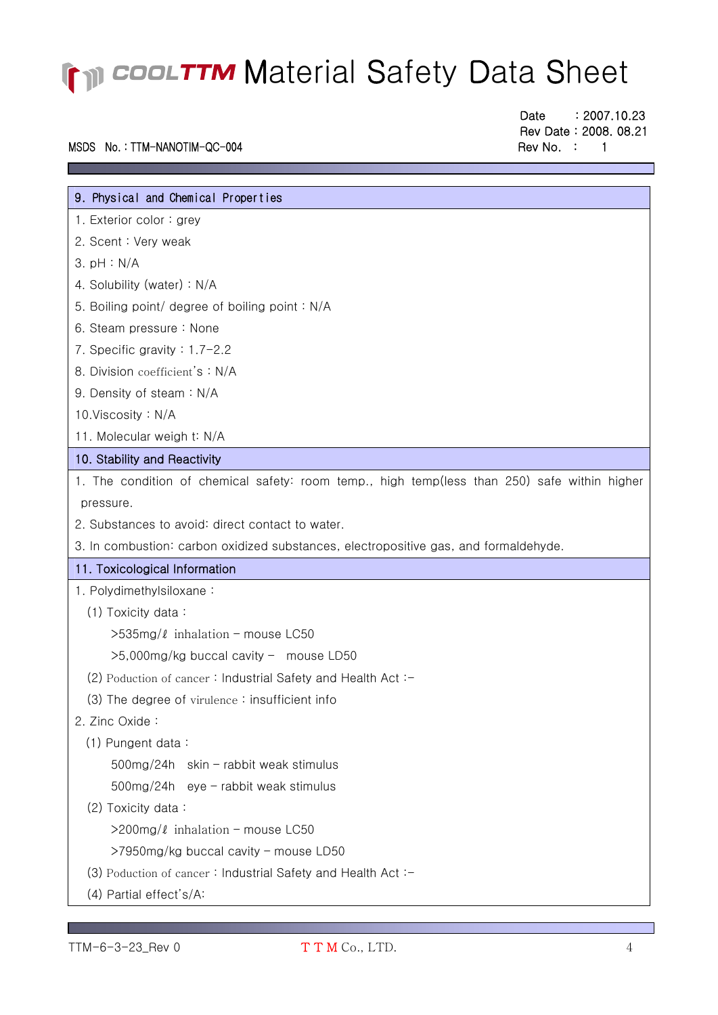### MSDS No.: TTM-NANOTIM-QC-004 Rev No. : 1

Date : 2007.10.23 Rev Date : 2008. 08.21

| 9. Physical and Chemical Properties                                                          |
|----------------------------------------------------------------------------------------------|
| 1. Exterior color: grey                                                                      |
| 2. Scent: Very weak                                                                          |
| 3. pH : N/A                                                                                  |
| 4. Solubility (water): N/A                                                                   |
| 5. Boiling point/ degree of boiling point: N/A                                               |
| 6. Steam pressure: None                                                                      |
| 7. Specific gravity : $1.7-2.2$                                                              |
| 8. Division coefficient's: N/A                                                               |
| 9. Density of steam: N/A                                                                     |
| 10. Viscosity: N/A                                                                           |
| 11. Molecular weigh t: N/A                                                                   |
| 10. Stability and Reactivity                                                                 |
| 1. The condition of chemical safety: room temp., high temp(less than 250) safe within higher |
| pressure.                                                                                    |
| 2. Substances to avoid: direct contact to water.                                             |
| 3. In combustion: carbon oxidized substances, electropositive gas, and formaldehyde.         |
| 11. Toxicological Information                                                                |
| 1. Polydimethylsiloxane:                                                                     |
| (1) Toxicity data:                                                                           |
| $>535$ mg/ $\ell$ inhalation - mouse LC50                                                    |
| >5,000mg/kg buccal cavity - mouse LD50                                                       |
| (2) Poduction of cancer: Industrial Safety and Health Act: -                                 |
| (3) The degree of virulence: insufficient info                                               |
| 2. Zinc Oxide:                                                                               |
| (1) Pungent data:                                                                            |
| 500mg/24h skin - rabbit weak stimulus                                                        |
| 500mg/24h eye - rabbit weak stimulus                                                         |
| (2) Toxicity data:                                                                           |
| $>$ 200mg/ $\ell$ inhalation – mouse LC50                                                    |
| >7950mg/kg buccal cavity - mouse LD50                                                        |
| $(3)$ Poduction of cancer: Industrial Safety and Health Act: $-$                             |
| (4) Partial effect's/A:                                                                      |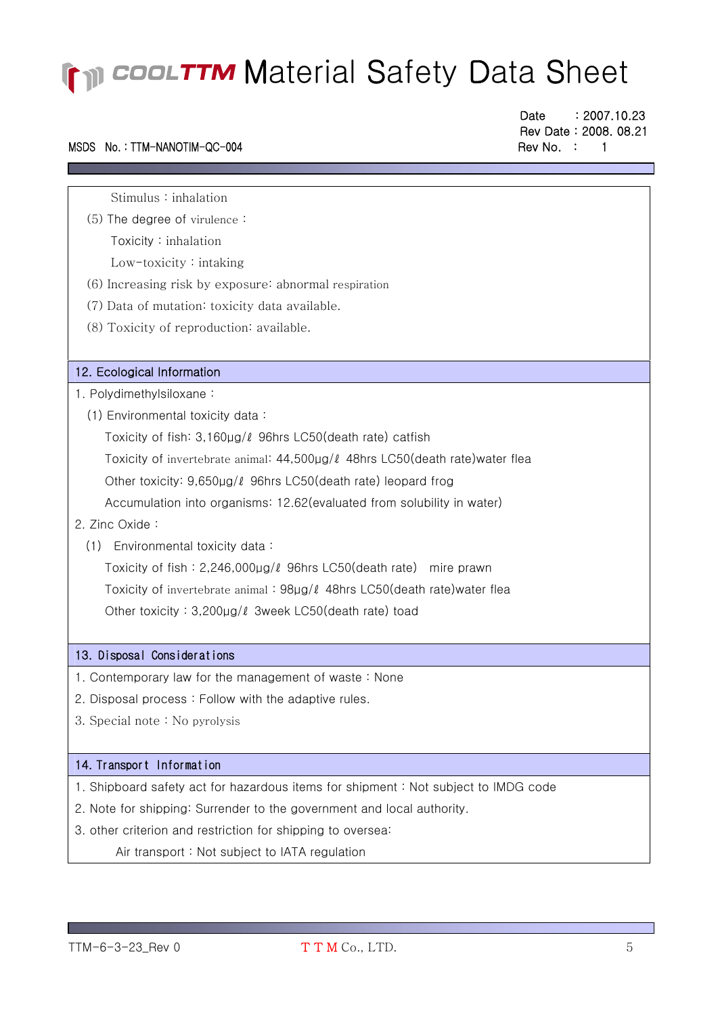### MSDS No.: TTM-NANOTIM-QC-004 Rev No. : 1

l ٦ Date : 2007.10.23 Rev Date : 2008. 08.21

Stimulus : inhalation

 (5) The degree of virulence : Toxicity : inhalation

Low-toxicity : intaking

- (6) Increasing risk by exposure: abnormal respiration
- (7) Data of mutation: toxicity data available.
- (8) Toxicity of reproduction: available.

#### 12. Ecological Information

- 1. Polydimethylsiloxane :
	- (1) Environmental toxicity data :

 Toxicity of fish: 3,160μg/ℓ 96hrs LC50(death rate) catfish Toxicity of invertebrate animal: 44,500μg/ℓ 48hrs LC50(death rate)water flea Other toxicity: 9,650μg/ℓ 96hrs LC50(death rate) leopard frog Accumulation into organisms: 12.62(evaluated from solubility in water)

- 2. Zinc Oxide :
	- (1) Environmental toxicity data :

 Toxicity of fish : 2,246,000μg/ℓ 96hrs LC50(death rate) mire prawn Toxicity of invertebrate animal : 98μg/ℓ 48hrs LC50(death rate)water flea Other toxicity : 3,200μg/ℓ 3week LC50(death rate) toad

#### 13. Disposal Considerations

- 1. Contemporary law for the management of waste : None
- 2. Disposal process : Follow with the adaptive rules.
- 3. Special note : No pyrolysis

#### 14. Transport Information

- 1. Shipboard safety act for hazardous items for shipment : Not subject to IMDG code
- 2. Note for shipping: Surrender to the government and local authority.
- 3. other criterion and restriction for shipping to oversea:

Air transport : Not subject to IATA regulation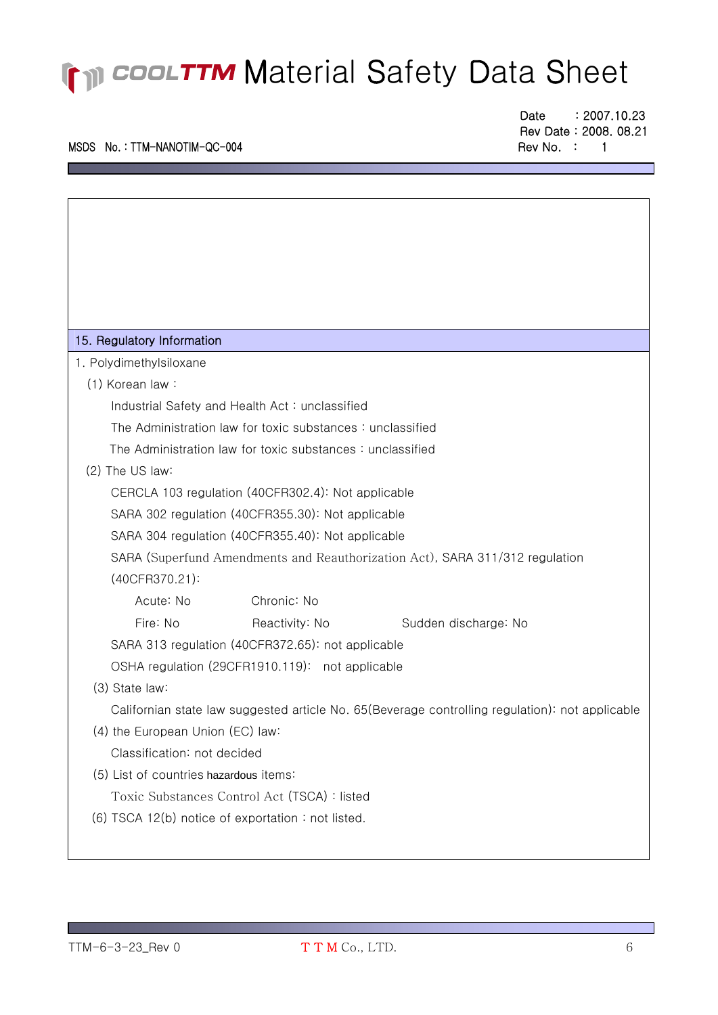### MSDS No.: TTM-NANOTIM-QC-004 Rev No. : 1

l ٦ Date : 2007.10.23 Rev Date : 2008. 08.21

| 15. Regulatory Information                                                                      |                                                   |                      |  |  |  |
|-------------------------------------------------------------------------------------------------|---------------------------------------------------|----------------------|--|--|--|
| 1. Polydimethylsiloxane                                                                         |                                                   |                      |  |  |  |
| (1) Korean law:                                                                                 |                                                   |                      |  |  |  |
| Industrial Safety and Health Act: unclassified                                                  |                                                   |                      |  |  |  |
| The Administration law for toxic substances: unclassified                                       |                                                   |                      |  |  |  |
| The Administration law for toxic substances: unclassified                                       |                                                   |                      |  |  |  |
| (2) The US law:                                                                                 |                                                   |                      |  |  |  |
| CERCLA 103 regulation (40CFR302.4): Not applicable                                              |                                                   |                      |  |  |  |
| SARA 302 regulation (40CFR355.30): Not applicable                                               |                                                   |                      |  |  |  |
| SARA 304 regulation (40CFR355.40): Not applicable                                               |                                                   |                      |  |  |  |
| SARA (Superfund Amendments and Reauthorization Act), SARA 311/312 regulation                    |                                                   |                      |  |  |  |
| (40CFR370.21):                                                                                  |                                                   |                      |  |  |  |
| Acute: No                                                                                       | Chronic: No                                       |                      |  |  |  |
| Fire: No                                                                                        | Reactivity: No                                    | Sudden discharge: No |  |  |  |
|                                                                                                 | SARA 313 regulation (40CFR372.65): not applicable |                      |  |  |  |
| OSHA regulation (29CFR1910.119): not applicable                                                 |                                                   |                      |  |  |  |
| (3) State law:                                                                                  |                                                   |                      |  |  |  |
| Californian state law suggested article No. 65(Beverage controlling regulation): not applicable |                                                   |                      |  |  |  |
| (4) the European Union (EC) law:                                                                |                                                   |                      |  |  |  |
| Classification: not decided                                                                     |                                                   |                      |  |  |  |
| (5) List of countries hazardous items:                                                          |                                                   |                      |  |  |  |
| Toxic Substances Control Act (TSCA) : listed                                                    |                                                   |                      |  |  |  |
| (6) TSCA 12(b) notice of exportation: not listed.                                               |                                                   |                      |  |  |  |
|                                                                                                 |                                                   |                      |  |  |  |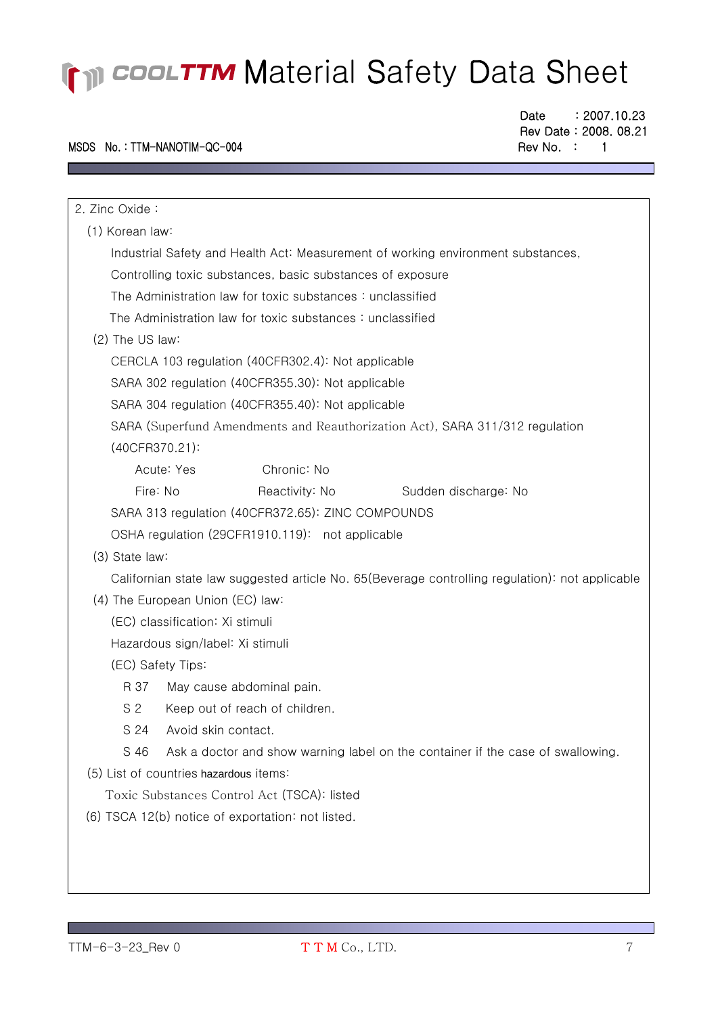### MSDS No.: TTM-NANOTIM-QC-004 Rev No. : 1

F

Date : 2007.10.23 Rev Date : 2008. 08.21

| 2. Zinc Oxide:                                                                                  |  |  |  |  |
|-------------------------------------------------------------------------------------------------|--|--|--|--|
| (1) Korean law:                                                                                 |  |  |  |  |
| Industrial Safety and Health Act: Measurement of working environment substances,                |  |  |  |  |
| Controlling toxic substances, basic substances of exposure                                      |  |  |  |  |
| The Administration law for toxic substances: unclassified                                       |  |  |  |  |
| The Administration law for toxic substances: unclassified                                       |  |  |  |  |
| (2) The US law:                                                                                 |  |  |  |  |
| CERCLA 103 regulation (40CFR302.4): Not applicable                                              |  |  |  |  |
| SARA 302 regulation (40CFR355.30): Not applicable                                               |  |  |  |  |
| SARA 304 regulation (40CFR355.40): Not applicable                                               |  |  |  |  |
| SARA (Superfund Amendments and Reauthorization Act), SARA 311/312 regulation                    |  |  |  |  |
| (40CFR370.21):                                                                                  |  |  |  |  |
| Acute: Yes<br>Chronic: No                                                                       |  |  |  |  |
| Fire: No<br>Reactivity: No<br>Sudden discharge: No                                              |  |  |  |  |
| SARA 313 regulation (40CFR372.65): ZINC COMPOUNDS                                               |  |  |  |  |
| OSHA regulation (29CFR1910.119): not applicable                                                 |  |  |  |  |
| (3) State law:                                                                                  |  |  |  |  |
| Californian state law suggested article No. 65(Beverage controlling regulation): not applicable |  |  |  |  |
| (4) The European Union (EC) law:                                                                |  |  |  |  |
| (EC) classification: Xi stimuli                                                                 |  |  |  |  |
| Hazardous sign/label: Xi stimuli                                                                |  |  |  |  |
| (EC) Safety Tips:                                                                               |  |  |  |  |
| R 37<br>May cause abdominal pain.                                                               |  |  |  |  |
| S <sub>2</sub><br>Keep out of reach of children.                                                |  |  |  |  |
| S 24<br>Avoid skin contact.                                                                     |  |  |  |  |
| S 46<br>Ask a doctor and show warning label on the container if the case of swallowing.         |  |  |  |  |
| (5) List of countries hazardous items:                                                          |  |  |  |  |
| Toxic Substances Control Act (TSCA): listed                                                     |  |  |  |  |
| (6) TSCA 12(b) notice of exportation: not listed.                                               |  |  |  |  |
|                                                                                                 |  |  |  |  |
|                                                                                                 |  |  |  |  |
|                                                                                                 |  |  |  |  |